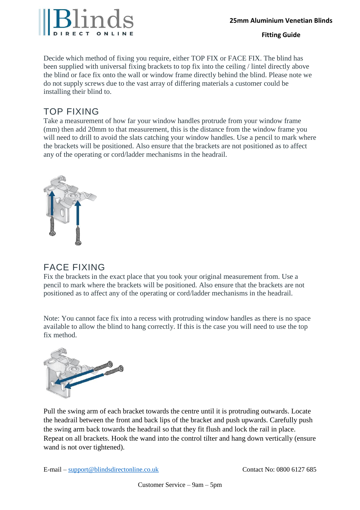### **Fitting Guide**

Decide which method of fixing you require, either TOP FIX or FACE FIX. The blind has been supplied with universal fixing brackets to top fix into the ceiling / lintel directly above the blind or face fix onto the wall or window frame directly behind the blind. Please note we do not supply screws due to the vast array of differing materials a customer could be installing their blind to.

# TOP FIXING

Take a measurement of how far your window handles protrude from your window frame (mm) then add 20mm to that measurement, this is the distance from the window frame you will need to drill to avoid the slats catching your window handles. Use a pencil to mark where the brackets will be positioned. Also ensure that the brackets are not positioned as to affect any of the operating or cord/ladder mechanisms in the headrail.



# FACE FIXING

Fix the brackets in the exact place that you took your original measurement from. Use a pencil to mark where the brackets will be positioned. Also ensure that the brackets are not positioned as to affect any of the operating or cord/ladder mechanisms in the headrail.

Note: You cannot face fix into a recess with protruding window handles as there is no space available to allow the blind to hang correctly. If this is the case you will need to use the top fix method.



Pull the swing arm of each bracket towards the centre until it is protruding outwards. Locate the headrail between the front and back lips of the bracket and push upwards. Carefully push the swing arm back towards the headrail so that they fit flush and lock the rail in place. Repeat on all brackets. Hook the wand into the control tilter and hang down vertically (ensure wand is not over tightened).

E-mail – support@blindsdirectonline.co.uk Contact No: 0800 6127 685